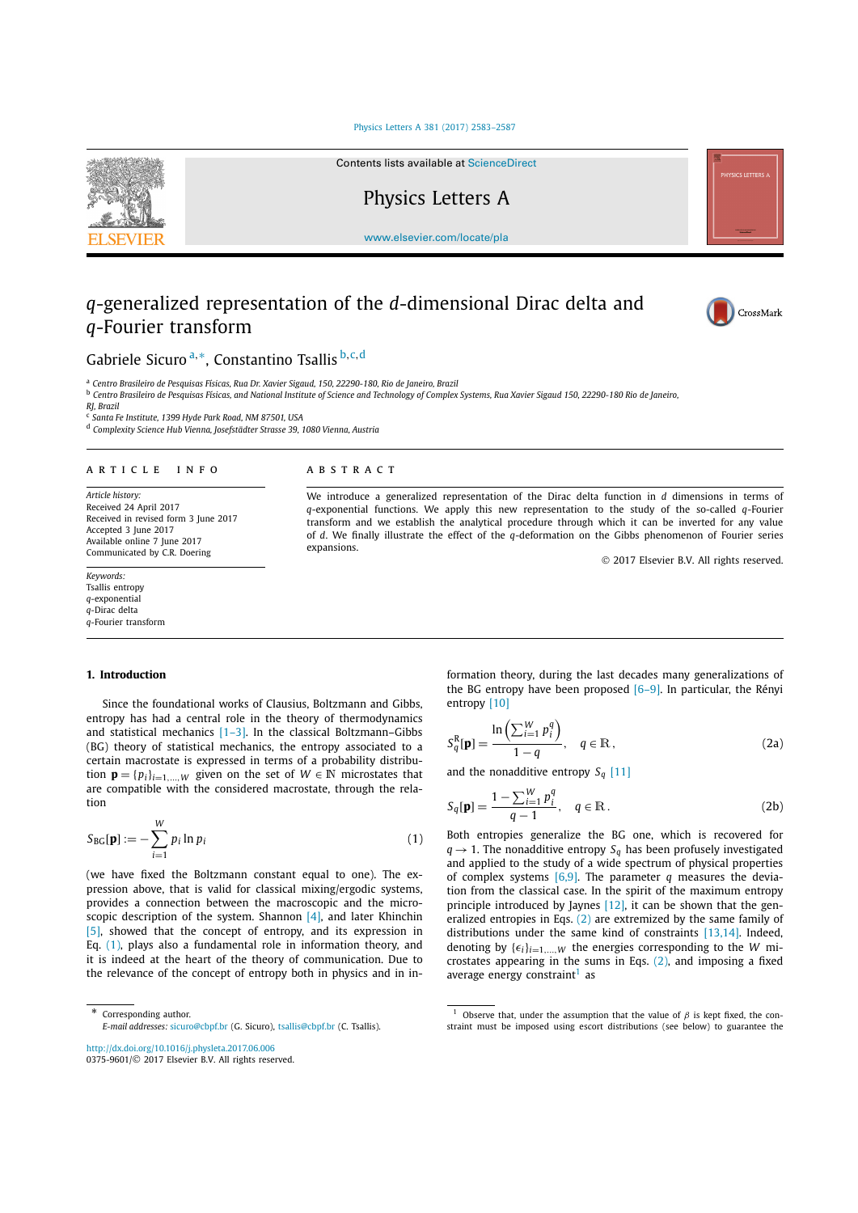#### Physics Letters A 381 (2017) 2583–2587



Contents lists available at ScienceDirect

# Physics Letters A

w[ww.elsevier.com/locate/pla](http://www.elsevier.com/locate/pla)

## *q*-generalized representation of the *d*-dimensional Dirac delta and *q*-Fourier transform

expansions.



© 2017 Elsevier B.V. All rights reserved.

## Gabriele Sicuro <sup>a</sup>*,*∗, Constantino Tsallis <sup>b</sup>*,*c*,*<sup>d</sup>

<sup>a</sup> *Centro Brasileiro de Pesquisas Físicas, Rua Dr. Xavier Sigaud, 150, 22290-180, Rio de Janeiro, Brazil*

<sup>b</sup> Centro Brasileiro de Pesquisas Físicas, and National Institute of Science and Technology of Complex Systems, Rua Xavier Sigaud 150, 22290-180 Rio de Janeiro,

*RJ, Brazil*

<sup>c</sup> *Santa Fe Institute, 1399 Hyde Park Road, NM 87501, USA*

<sup>d</sup> *Complexity Science Hub Vienna, Josefstädter Strasse 39, 1080 Vienna, Austria*

#### A R T I C L E I N F O A B S T R A C T

*Article history:* Received 24 April 2017 Received in revised form 3 June 2017 Accepted 3 June 2017 Available online 7 June 2017 Communicated by C.R. Doering

#### *Keywords:* Tsallis entropy *q*-exponential *q*-Dirac delta

*q*-Fourier transform

#### **1. Introduction**

Since the foundational works of Clausius, Boltzmann and Gibbs, entropy has had a central role in the theory of thermodynamics and statistical mechanics [1–3]. In the classical Boltzmann–Gibbs (BG) theory of statistical mechanics, the entropy associated to a certain macrostate is expressed in terms of a probability distribution  $\mathbf{p} = \{p_i\}_{i=1,\dots,W}$  given on the set of  $W \in \mathbb{N}$  microstates that are compatible with the considered macrostate, through the relation

$$
S_{BG}[\mathbf{p}] := -\sum_{i=1}^{W} p_i \ln p_i \tag{1}
$$

(we have fixed the Boltzmann constant equal to one). The expression above, that is valid for classical mixing/ergodic systems, provides a connection between the macroscopic and the microscopic description of the system. Shannon [4], and later Khinchin [5], showed that the concept of entropy, and its expression in Eq. (1), plays also a fundamental role in information theory, and it is indeed at the heart of the theory of communication. Due to the relevance of the concept of entropy both in physics and in in-

http://dx.doi.org/10.1016/j.physleta.2017.06.006

0375-9601/© 2017 Elsevier B.V. All rights reserved.

formation theory, during the last decades many generalizations of the BG entropy have been proposed  $[6-9]$ . In particular, the Rényi entropy [10]

$$
S_q^{\rm R}[\mathbf{p}] = \frac{\ln\left(\sum_{i=1}^W p_i^q\right)}{1-q}, \quad q \in \mathbb{R}, \tag{2a}
$$

and the nonadditive entropy  $S_q$  [11]

We introduce a generalized representation of the Dirac delta function in *d* dimensions in terms of *q*-exponential functions. We apply this new representation to the study of the so-called *q*-Fourier transform and we establish the analytical procedure through which it can be inverted for any value of *d*. We finally illustrate the effect of the *q*-deformation on the Gibbs phenomenon of Fourier series

$$
S_q[\mathbf{p}] = \frac{1 - \sum_{i=1}^{W} p_i^q}{q - 1}, \quad q \in \mathbb{R}.
$$
 (2b)

Both entropies generalize the BG one, which is recovered for  $q \rightarrow 1$ . The nonadditive entropy  $S_q$  has been profusely investigated and applied to the study of a wide spectrum of physical properties of complex systems [6,9]. The parameter *q* measures the deviation from the classical case. In the spirit of the maximum entropy principle introduced by Jaynes [12], it can be shown that the generalized entropies in Eqs. (2) are extremized by the same family of distributions under the same kind of constraints [13,14]. Indeed, denoting by  $\{\epsilon_i\}_{i=1,\dots,W}$  the energies corresponding to the *W* microstates appearing in the sums in Eqs.  $(2)$ , and imposing a fixed average energy constraint<sup>1</sup> as

Corresponding aut[hor.](mailto:sicuro@cbpf.br)

*E-mail addresses:* sicuro@cbpf.br (G. Sicuro), tsallis@cbpf.br (C. Tsallis).

Observe that, under the assumption that the value of  $β$  is kept fixed, the constraint must be imposed using escort distributions (see below) to guarantee the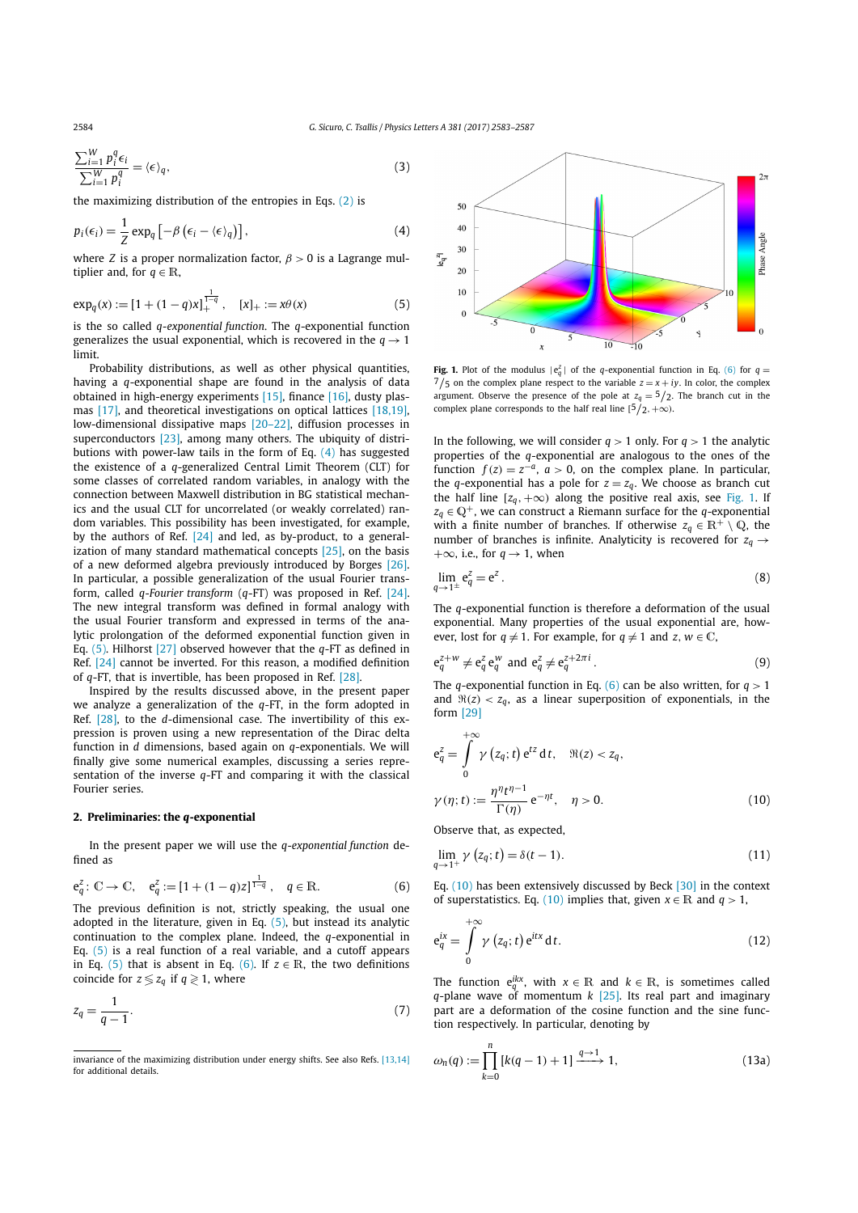$$
\frac{\sum_{i=1}^{W} p_i^q \epsilon_i}{\sum_{i=1}^{W} p_i^q} = \langle \epsilon \rangle_q,
$$
\n(3)

the maximizing distribution of the entropies in Eqs.  $(2)$  is

$$
p_i(\epsilon_i) = \frac{1}{Z} \exp_q \left[ -\beta \left( \epsilon_i - \langle \epsilon \rangle_q \right) \right],\tag{4}
$$

where *Z* is a proper normalization factor,  $\beta > 0$  is a Lagrange multiplier and, for  $q \in \mathbb{R}$ ,

$$
\exp_q(x) := [1 + (1 - q)x]_+^{\frac{1}{1-q}}, \quad [x]_+ := x\theta(x) \tag{5}
$$

is the so called *q-exponential function*. The *q*-exponential function generalizes the usual exponential, which is recovered in the  $q \rightarrow 1$ limit.

Probability distributions, as well as other physical quantities, having a *q*-exponential shape are found in the analysis of data obtained in high-energy experiments [15], finance [16], dusty plasmas [17], and theoretical investigations on optical lattices [18,19], low-dimensional dissipative maps [20–22], diffusion processes in superconductors [23], among many others. The ubiquity of distributions with power-law tails in the form of Eq. (4) has suggested the existence of a *q*-generalized Central Limit Theorem (CLT) for some classes of correlated random variables, in analogy with the connection between Maxwell distribution in BG statistical mechanics and the usual CLT for uncorrelated (or weakly correlated) random variables. This possibility has been investigated, for example, by the authors of Ref. [24] and led, as by-product, to a generalization of many standard mathematical concepts [25], on the basis of a new deformed algebra previously introduced by Borges [26]. In particular, a possible generalization of the usual Fourier transform, called *q-Fourier transform* (*q*-FT) was proposed in Ref. [24]. The new integral transform was defined in formal analogy with the usual Fourier transform and expressed in terms of the analytic prolongation of the deformed exponential function given in Eq. (5). Hilhorst [27] observed however that the *q*-FT as defined in Ref. [24] cannot be inverted. For this reason, a modified definition of *q*-FT, that is invertible, has been proposed in Ref. [28].

Inspired by the results discussed above, in the present paper we analyze a generalization of the *q*-FT, in the form adopted in Ref. [28], to the *d*-dimensional case. The invertibility of this expression is proven using a new representation of the Dirac delta function in *d* dimensions, based again on *q*-exponentials. We will finally give some numerical examples, discussing a series representation of the inverse *q*-FT and comparing it with the classical Fourier series.

#### **2. Preliminaries: the** *q***-exponential**

In the present paper we will use the *q-exponential function* defined as

$$
e_q^z: \mathbb{C} \to \mathbb{C}, \quad e_q^z := [1 + (1 - q)z]^{\frac{1}{1 - q}}, \quad q \in \mathbb{R}.
$$
 (6)

The previous definition is not, strictly speaking, the usual one adopted in the literature, given in Eq. (5), but instead its analytic continuation to the complex plane. Indeed, the *q*-exponential in Eq.  $(5)$  is a real function of a real variable, and a cutoff appears in Eq. (5) that is absent in Eq. (6). If  $z \in \mathbb{R}$ , the two definitions coincide for  $z \le z_q$  if  $q \ge 1$ , where

$$
z_q = \frac{1}{q-1}.\tag{7}
$$



**Fig. 1.** Plot of the modulus  $|e_q^z|$  of the *q*-exponential function in Eq. (6) for *q* =  $7/5$  on the complex plane respect to the variable  $z = x + iy$ . In color, the complex argument. Observe the presence of the pole at  $z_q = 5/z$ . The branch cut in the complex plane corresponds to the half real line  $[5/2, +\infty)$ .

In the following, we will consider  $q > 1$  only. For  $q > 1$  the analytic properties of the *q*-exponential are analogous to the ones of the function  $f(z) = z^{-a}$ ,  $a > 0$ , on the complex plane. In particular, the *q*-exponential has a pole for  $z = z_q$ . We choose as branch cut the half line  $[z_q, +\infty)$  along the positive real axis, see Fig. 1. If  $z_q \in \mathbb{Q}^+$ , we can construct a Riemann surface for the *q*-exponential with a finite number of branches. If otherwise  $z_q \in \mathbb{R}^+ \setminus \mathbb{Q}$ , the number of branches is infinite. Analyticity is recovered for  $z_q \rightarrow$  $+\infty$ , i.e., for  $q \rightarrow 1$ , when

$$
\lim_{q \to 1^{\pm}} e_q^z = e^z. \tag{8}
$$

The *q*-exponential function is therefore a deformation of the usual exponential. Many properties of the usual exponential are, however, lost for  $q \neq 1$ . For example, for  $q \neq 1$  and  $z, w \in \mathbb{C}$ ,

$$
e_q^{z+w} \neq e_q^z e_q^w \text{ and } e_q^z \neq e_q^{z+2\pi i}.
$$
 (9)

The *q*-exponential function in Eq. (6) can be also written, for  $q > 1$ and  $\Re(z) < z_q$ , as a linear superposition of exponentials, in the form [29]

$$
e_q^z = \int_0^{+\infty} \gamma (z_q; t) e^{tz} dt, \quad \Re(z) < z_q,
$$
  

$$
\gamma(\eta; t) := \frac{\eta^{\eta} t^{\eta - 1}}{\Gamma(\eta)} e^{-\eta t}, \quad \eta > 0.
$$
 (10)

Observe that, as expected,

$$
\lim_{q \to 1^+} \gamma\left(z_q; t\right) = \delta(t - 1). \tag{11}
$$

Eq. (10) has been extensively discussed by Beck [30] in the context of superstatistics. Eq. (10) implies that, given  $x \in \mathbb{R}$  and  $q > 1$ ,

$$
e_q^{ix} = \int\limits_0^{+\infty} \gamma(z_q; t) e^{itx} dt.
$$
 (12)

The function  $e_q^{ikx}$ , with  $x \in \mathbb{R}$  and  $k \in \mathbb{R}$ , is sometimes called *q*-plane wave of momentum *k* [25]. Its real part and imaginary part are a deformation of the cosine function and the sine function respectively. In particular, denoting by

$$
\omega_n(q) := \prod_{k=0}^n \left[ k(q-1) + 1 \right] \xrightarrow{q \to 1} 1,\tag{13a}
$$

invariance of the maximizing distribution under energy shifts. See also Refs. [13,14] for additional details.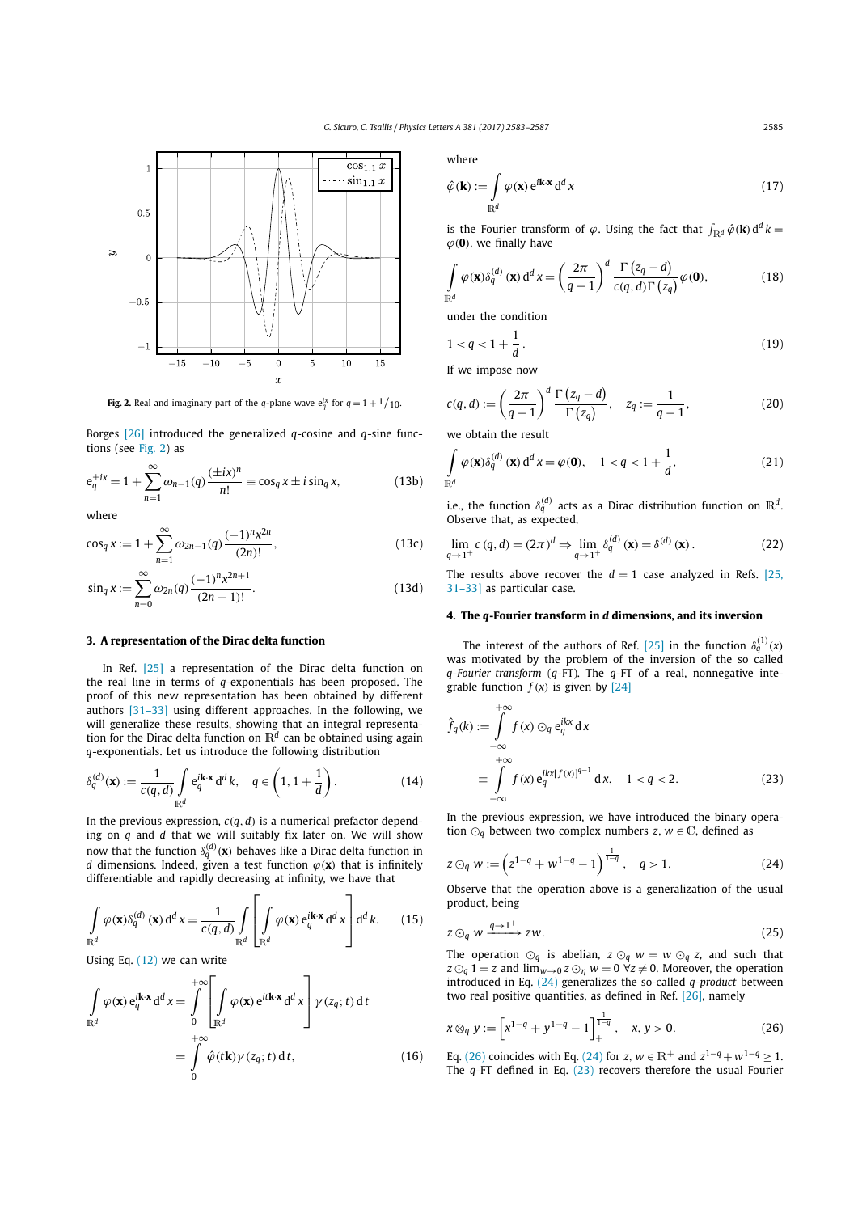

**Fig. 2.** Real and imaginary part of the *q*-plane wave  $e_q^{ix}$  for  $q = 1 + \frac{1}{10}$ .

Borges [26] introduced the generalized *q*-cosine and *q*-sine functions (see Fig. 2) as

$$
e_q^{\pm ix} = 1 + \sum_{n=1}^{\infty} \omega_{n-1}(q) \frac{(\pm ix)^n}{n!} \equiv \cos_q x \pm i \sin_q x,
$$
 (13b)

where

$$
\cos_q x := 1 + \sum_{n=1}^{\infty} \omega_{2n-1}(q) \frac{(-1)^n x^{2n}}{(2n)!},
$$
\n(13c)

$$
\sin_q x := \sum_{n=0}^{\infty} \omega_{2n}(q) \frac{(-1)^n x^{2n+1}}{(2n+1)!}.
$$
\n(13d)

### **3. A representation of the Dirac delta function**

In Ref. [25] a representation of the Dirac delta function on the real line in terms of *q*-exponentials has been proposed. The proof of this new representation has been obtained by different authors [31–33] using different approaches. In the following, we will generalize these results, showing that an integral representation for the Dirac delta function on R*<sup>d</sup>* can be obtained using again *q*-exponentials. Let us introduce the following distribution

$$
\delta_q^{(d)}(\mathbf{x}) := \frac{1}{c(q,d)} \int_{\mathbb{R}^d} e_q^{i\mathbf{k} \cdot \mathbf{x}} d^d k, \quad q \in \left(1, 1 + \frac{1}{d}\right). \tag{14}
$$

In the previous expression,  $c(q, d)$  is a numerical prefactor depending on *q* and *d* that we will suitably fix later on. We will show now that the function  $\delta_q^{(d)}(\mathbf{x})$  behaves like a Dirac delta function in *d* dimensions. Indeed, given a test function  $\varphi(\mathbf{x})$  that is infinitely differentiable and rapidly decreasing at infinity, we have that

$$
\int_{\mathbb{R}^d} \varphi(\mathbf{x}) \delta_q^{(d)}(\mathbf{x}) d^d x = \frac{1}{c(q,d)} \int_{\mathbb{R}^d} \left[ \int_{\mathbb{R}^d} \varphi(\mathbf{x}) e_q^{i\mathbf{k} \cdot \mathbf{x}} d^d x \right] d^d k. \tag{15}
$$

Using Eq. (12) we can write

$$
\int_{\mathbb{R}^d} \varphi(\mathbf{x}) e_q^{i\mathbf{k} \cdot \mathbf{x}} d^d x = \int_0^{+\infty} \left[ \int_{\mathbb{R}^d} \varphi(\mathbf{x}) e^{i t \mathbf{k} \cdot \mathbf{x}} d^d x \right] \gamma(z_q; t) dt
$$
\n
$$
= \int_0^{+\infty} \hat{\varphi}(t \mathbf{k}) \gamma(z_q; t) dt, \qquad (16)
$$

where

$$
\hat{\varphi}(\mathbf{k}) := \int_{\mathbb{R}^d} \varphi(\mathbf{x}) e^{i\mathbf{k} \cdot \mathbf{x}} d^d x \tag{17}
$$

is the Fourier transform of  $\varphi$ . Using the fact that  $\int_{\mathbb{R}^d} \hat{\varphi}(\mathbf{k}) d^d k =$  $\varphi$ (0), we finally have

$$
\int_{\mathbb{R}^d} \varphi(\mathbf{x}) \delta_q^{(d)}(\mathbf{x}) d^d x = \left(\frac{2\pi}{q-1}\right)^d \frac{\Gamma(z_q - d)}{c(q, d)\Gamma(z_q)} \varphi(\mathbf{0}),\tag{18}
$$

under the condition

$$
1 < q < 1 + \frac{1}{d} \,. \tag{19}
$$

If we impose now

$$
c(q,d) := \left(\frac{2\pi}{q-1}\right)^d \frac{\Gamma\left(z_q - d\right)}{\Gamma\left(z_q\right)}, \quad z_q := \frac{1}{q-1},\tag{20}
$$

we obtain the result

$$
\int_{\mathbb{R}^d} \varphi(\mathbf{x}) \delta_q^{(d)}(\mathbf{x}) d^d x = \varphi(\mathbf{0}), \quad 1 < q < 1 + \frac{1}{d}, \tag{21}
$$

i.e., the function  $\delta_q^{(d)}$  acts as a Dirac distribution function on  $\mathbb{R}^d$ . Observe that, as expected,

$$
\lim_{q \to 1^+} c(q, d) = (2\pi)^d \Rightarrow \lim_{q \to 1^+} \delta_q^{(d)}(\mathbf{x}) = \delta^{(d)}(\mathbf{x}).
$$
\n(22)

The results above recover the  $d = 1$  case analyzed in Refs. [25, 31–33] as particular case.

## **4. The** *q***-Fourier transform in** *d* **dimensions, and its inversion**

The interest of the authors of Ref. [25] in the function  $\delta_q^{(1)}(x)$ was motivated by the problem of the inversion of the so called *q-Fourier transform* (*q*-FT). The *q*-FT of a real, nonnegative integrable function  $f(x)$  is given by [24]

$$
\hat{f}_q(k) := \int_{-\infty}^{+\infty} f(x) \odot_q e_q^{ikx} dx
$$
  
= 
$$
\int_{-\infty}^{+\infty} f(x) e_q^{ikx[f(x)]^{q-1}} dx, \quad 1 < q < 2.
$$
 (23)

In the previous expression, we have introduced the binary operation  $\odot_q$  between two complex numbers *z*,  $w \in \mathbb{C}$ , defined as

$$
z \odot_q w := \left(z^{1-q} + w^{1-q} - 1\right)^{\frac{1}{1-q}}, \quad q > 1. \tag{24}
$$

Observe that the operation above is a generalization of the usual product, being

$$
z \odot_q w \xrightarrow{q \to 1^+} zw. \tag{25}
$$

The operation  $\odot_q$  is abelian,  $z \odot_q w = w \odot_q z$ , and such that  $z \odot_q 1 = z$  and  $\lim_{w\to 0} z \odot_q w = 0 \ \forall z \neq 0$ . Moreover, the operation introduced in Eq. (24) generalizes the so-called *q-product* between two real positive quantities, as defined in Ref. [26], namely

$$
x \otimes_q y := \left[ x^{1-q} + y^{1-q} - 1 \right]_+^{\frac{1}{1-q}}, \quad x, y > 0. \tag{26}
$$

Eq. (26) coincides with Eq. (24) for *z*,  $w \in \mathbb{R}^+$  and  $z^{1-q} + w^{1-q} \ge 1$ . The *q*-FT defined in Eq. (23) recovers therefore the usual Fourier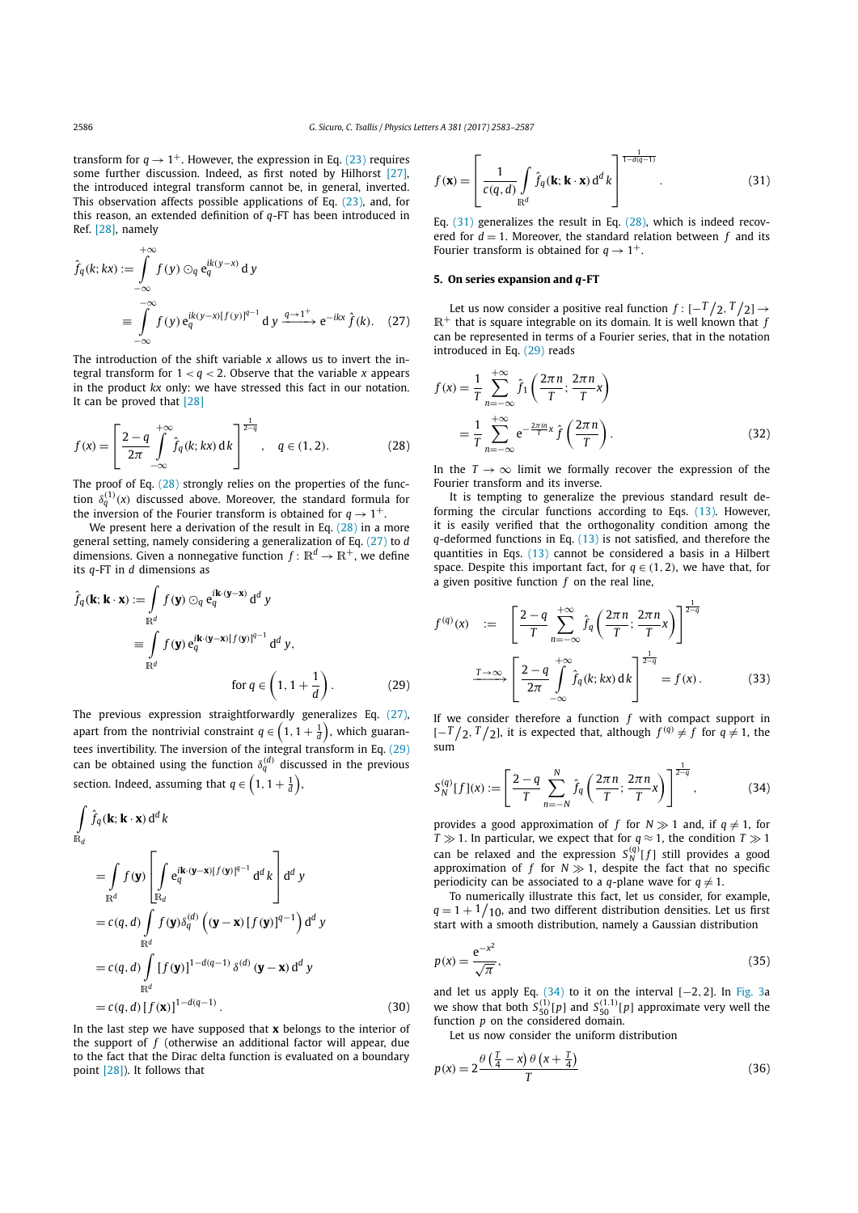transform for  $q \rightarrow 1^+$ . However, the expression in Eq. (23) requires some further discussion. Indeed, as first noted by Hilhorst [27], the introduced integral transform cannot be, in general, inverted. This observation affects possible applications of Eq. (23), and, for this reason, an extended definition of *q*-FT has been introduced in Ref. [28], namely

$$
\hat{f}_q(k; kx) := \int_{-\infty}^{\infty} f(y) \odot_q e_q^{ik(y-x)} d y
$$
\n
$$
\equiv \int_{-\infty}^{-\infty} f(y) e_q^{ik(y-x)[f(y)]^{q-1}} dy \xrightarrow{q \to 1^+} e^{-ikx} \hat{f}(k). \quad (27)
$$

The introduction of the shift variable *x* allows us to invert the integral transform for  $1 < q < 2$ . Observe that the variable *x* appears in the product *kx* only: we have stressed this fact in our notation. It can be proved that [28]

$$
f(x) = \left[\frac{2-q}{2\pi} \int_{-\infty}^{+\infty} \hat{f}_q(k; kx) \, dk\right]^{\frac{1}{2-q}}, \quad q \in (1, 2). \tag{28}
$$

The proof of Eq. (28) strongly relies on the properties of the function  $\delta_q^{(1)}(x)$  discussed above. Moreover, the standard formula for the inversion of the Fourier transform is obtained for  $q \rightarrow 1^+$ .

We present here a derivation of the result in Eq. (28) in a more general setting, namely considering a generalization of Eq. (27) to *d* dimensions. Given a nonnegative function  $f: \mathbb{R}^d \to \mathbb{R}^+$ , we define its *q*-FT in *d* dimensions as

$$
\hat{f}_q(\mathbf{k}; \mathbf{k} \cdot \mathbf{x}) := \int_{\mathbb{R}^d} f(\mathbf{y}) \odot_q e_q^{\mathbf{i} \mathbf{k} \cdot (\mathbf{y} - \mathbf{x})} d^d y
$$
\n
$$
\equiv \int_{\mathbb{R}^d} f(\mathbf{y}) e_q^{\mathbf{i} \mathbf{k} \cdot (\mathbf{y} - \mathbf{x}) \lfloor f(\mathbf{y}) \rfloor^{q-1}} d^d y,
$$
\n
$$
\text{for } q \in \left(1, 1 + \frac{1}{d}\right). \tag{29}
$$

The previous expression straightforwardly generalizes Eq. (27), apart from the nontrivial constraint  $q \in \left(1, 1 + \frac{1}{d}\right)$ , which guarantees invertibility. The inversion of the integral transform in Eq. (29) can be obtained using the function  $\delta_q^{(d)}$  discussed in the previous section. Indeed, assuming that  $q \in \left(1, 1 + \frac{1}{d}\right)$ ,

$$
\int_{\mathbb{R}^d} \hat{f}_q(\mathbf{k}; \mathbf{k} \cdot \mathbf{x}) d^d k
$$
\n
$$
= \int_{\mathbb{R}^d} f(\mathbf{y}) \left[ \int_{\mathbb{R}^d} e_q^{i\mathbf{k} \cdot (\mathbf{y} - \mathbf{x}) [f(\mathbf{y})]^{q-1}} d^d k \right] d^d y
$$
\n
$$
= c(q, d) \int_{\mathbb{R}^d} f(\mathbf{y}) \delta_q^{(d)} ((\mathbf{y} - \mathbf{x}) [f(\mathbf{y})]^{q-1}) d^d y
$$
\n
$$
= c(q, d) \int_{\mathbb{R}^d} [f(\mathbf{y})]^{1-d(q-1)} \delta^{(d)} (\mathbf{y} - \mathbf{x}) d^d y
$$
\n
$$
= c(q, d) [f(\mathbf{x})]^{1-d(q-1)} .
$$
\n(30)

In the last step we have supposed that **x** belongs to the interior of the support of *f* (otherwise an additional factor will appear, due to the fact that the Dirac delta function is evaluated on a boundary point [28]). It follows that

$$
f(\mathbf{x}) = \left[\frac{1}{c(q,d)} \int_{\mathbb{R}^d} \hat{f}_q(\mathbf{k}; \mathbf{k} \cdot \mathbf{x}) d^d k \right]^{\frac{1}{1-d(q-1)}}.
$$
 (31)

Eq.  $(31)$  generalizes the result in Eq.  $(28)$ , which is indeed recovered for  $d = 1$ . Moreover, the standard relation between  $f$  and its Fourier transform is obtained for  $q \rightarrow 1^+$ .

### **5. On series expansion and** *q***-FT**

Let us now consider a positive real function  $f: [-T/2, T/2] \rightarrow$  $\mathbb{R}^+$  that is square integrable on its domain. It is well known that *f* can be represented in terms of a Fourier series, that in the notation introduced in Eq. (29) reads

$$
f(x) = \frac{1}{T} \sum_{n = -\infty}^{+\infty} \hat{f}_1\left(\frac{2\pi n}{T}; \frac{2\pi n}{T}x\right)
$$
  
= 
$$
\frac{1}{T} \sum_{n = -\infty}^{+\infty} e^{-\frac{2\pi n}{T}x} \hat{f}\left(\frac{2\pi n}{T}\right).
$$
 (32)

In the  $T \rightarrow \infty$  limit we formally recover the expression of the Fourier transform and its inverse.

It is tempting to generalize the previous standard result deforming the circular functions according to Eqs. (13). However, it is easily verified that the orthogonality condition among the *q*-deformed functions in Eq. (13) is not satisfied, and therefore the quantities in Eqs. (13) cannot be considered a basis in a Hilbert space. Despite this important fact, for  $q \in (1, 2)$ , we have that, for a given positive function *f* on the real line,

$$
f^{(q)}(x) := \left[\frac{2-q}{T} \sum_{n=-\infty}^{+\infty} \hat{f}_q\left(\frac{2\pi n}{T}; \frac{2\pi n}{T}x\right)\right]^{\frac{1}{2-q}}
$$

$$
\xrightarrow{T \to \infty} \left[\frac{2-q}{2\pi} \int_{-\infty}^{+\infty} \hat{f}_q(k; kx) dk\right]^{\frac{1}{2-q}} = f(x).
$$
(33)

If we consider therefore a function *f* with compact support in  $[-T/2, T/2]$ , it is expected that, although  $f^{(q)} \neq f$  for  $q \neq 1$ , the sum

$$
S_N^{(q)}[f](x) := \left[\frac{2-q}{T} \sum_{n=-N}^N \hat{f}_q\left(\frac{2\pi n}{T}; \frac{2\pi n}{T}x\right)\right]^{\frac{1}{2-q}},\tag{34}
$$

provides a good approximation of *f* for  $N \gg 1$  and, if  $q \neq 1$ , for *T*  $\gg$  1. In particular, we expect that for *q*  $\approx$  1, the condition *T*  $\gg$  1 can be relaxed and the expression  $S_N^{\left(q\right)}[f]$  still provides a good approximation of *f* for  $N \gg 1$ , despite the fact that no specific periodicity can be associated to a *q*-plane wave for  $q \neq 1$ .

To numerically illustrate this fact, let us consider, for example,  $q = 1 + \frac{1}{10}$ , and two different distribution densities. Let us first start with a smooth distribution, namely a Gaussian distribution

$$
p(x) = \frac{e^{-x^2}}{\sqrt{\pi}},\tag{35}
$$

and let us apply Eq. (34) to it on the interval [−2*,* 2]. In Fig. 3a we show that both  $S_{50}^{(1)}[p]$  and  $S_{50}^{(1.1)}[p]$  approximate very well the function *p* on the considered domain.

Let us now consider the uniform distribution

$$
p(x) = 2\frac{\theta\left(\frac{T}{4} - x\right)\theta\left(x + \frac{T}{4}\right)}{T}
$$
\n(36)

+∞